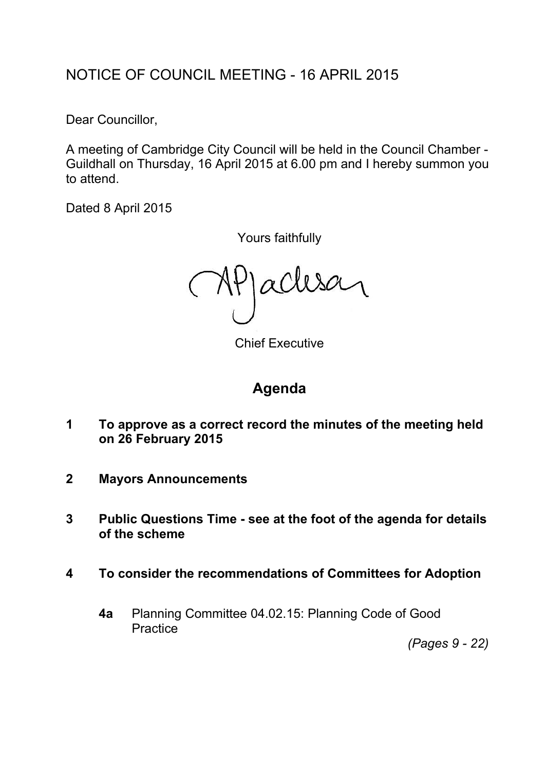# NOTICE OF COUNCIL MEETING - 16 APRIL 2015

Dear Councillor,

A meeting of Cambridge City Council will be held in the Council Chamber - Guildhall on Thursday, 16 April 2015 at 6.00 pm and I hereby summon you to attend.

Dated 8 April 2015

Yours faithfully

MPJaclese

Chief Executive

## **Agenda**

- **1 To approve as a correct record the minutes of the meeting held on 26 February 2015**
- **2 Mayors Announcements**
- **3 Public Questions Time - see at the foot of the agenda for details of the scheme**
- **4 To consider the recommendations of Committees for Adoption**
	- **4a** Planning Committee 04.02.15: Planning Code of Good **Practice**

*(Pages 9 - 22)*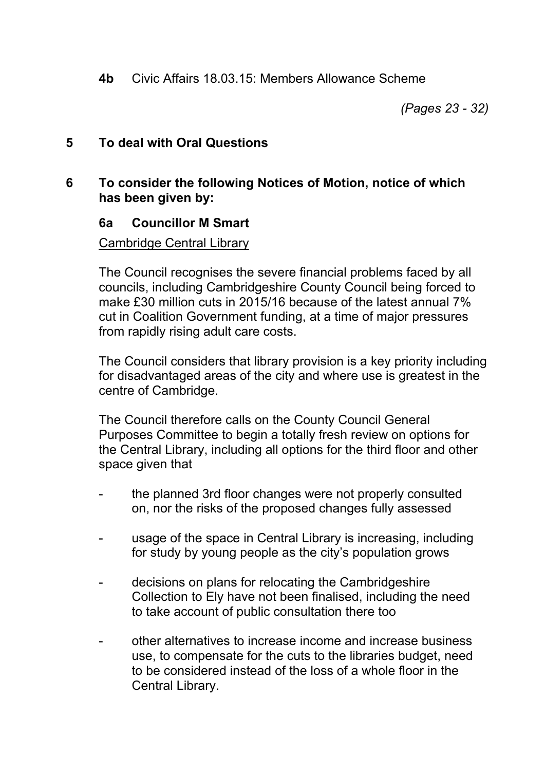**4b** Civic Affairs 18.03.15: Members Allowance Scheme

*(Pages 23 - 32)*

#### **5 To deal with Oral Questions**

#### **6 To consider the following Notices of Motion, notice of which has been given by:**

#### **6a Councillor M Smart**

#### Cambridge Central Library

The Council recognises the severe financial problems faced by all councils, including Cambridgeshire County Council being forced to make £30 million cuts in 2015/16 because of the latest annual 7% cut in Coalition Government funding, at a time of major pressures from rapidly rising adult care costs.

The Council considers that library provision is a key priority including for disadvantaged areas of the city and where use is greatest in the centre of Cambridge.

The Council therefore calls on the County Council General Purposes Committee to begin a totally fresh review on options for the Central Library, including all options for the third floor and other space given that

- the planned 3rd floor changes were not properly consulted on, nor the risks of the proposed changes fully assessed
- usage of the space in Central Library is increasing, including for study by young people as the city's population grows
- decisions on plans for relocating the Cambridgeshire Collection to Ely have not been finalised, including the need to take account of public consultation there too
- other alternatives to increase income and increase business use, to compensate for the cuts to the libraries budget, need to be considered instead of the loss of a whole floor in the Central Library.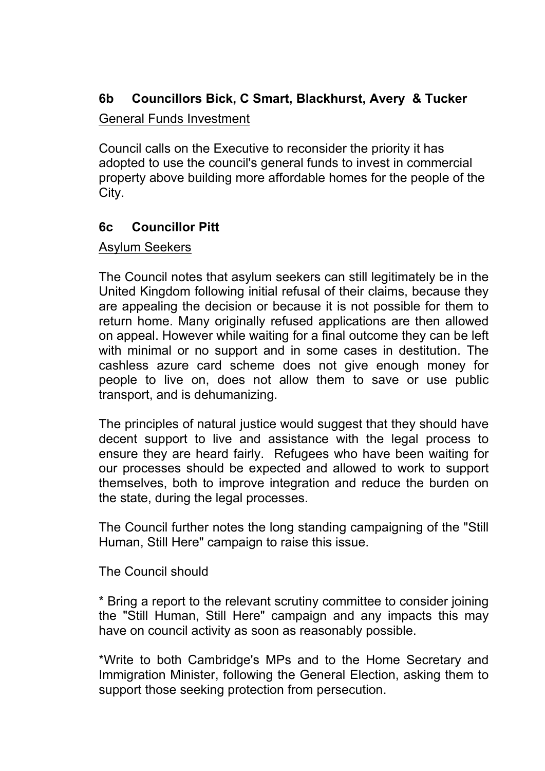### **6b Councillors Bick, C Smart, Blackhurst, Avery & Tucker**

#### General Funds Investment

Council calls on the Executive to reconsider the priority it has adopted to use the council's general funds to invest in commercial property above building more affordable homes for the people of the City.

#### **6c Councillor Pitt**

#### Asylum Seekers

The Council notes that asylum seekers can still legitimately be in the United Kingdom following initial refusal of their claims, because they are appealing the decision or because it is not possible for them to return home. Many originally refused applications are then allowed on appeal. However while waiting for a final outcome they can be left with minimal or no support and in some cases in destitution. The cashless azure card scheme does not give enough money for people to live on, does not allow them to save or use public transport, and is dehumanizing.

The principles of natural justice would suggest that they should have decent support to live and assistance with the legal process to ensure they are heard fairly. Refugees who have been waiting for our processes should be expected and allowed to work to support themselves, both to improve integration and reduce the burden on the state, during the legal processes.

The Council further notes the long standing campaigning of the "Still Human, Still Here" campaign to raise this issue.

#### The Council should

\* Bring a report to the relevant scrutiny committee to consider joining the "Still Human, Still Here" campaign and any impacts this may have on council activity as soon as reasonably possible.

\*Write to both Cambridge's MPs and to the Home Secretary and Immigration Minister, following the General Election, asking them to support those seeking protection from persecution.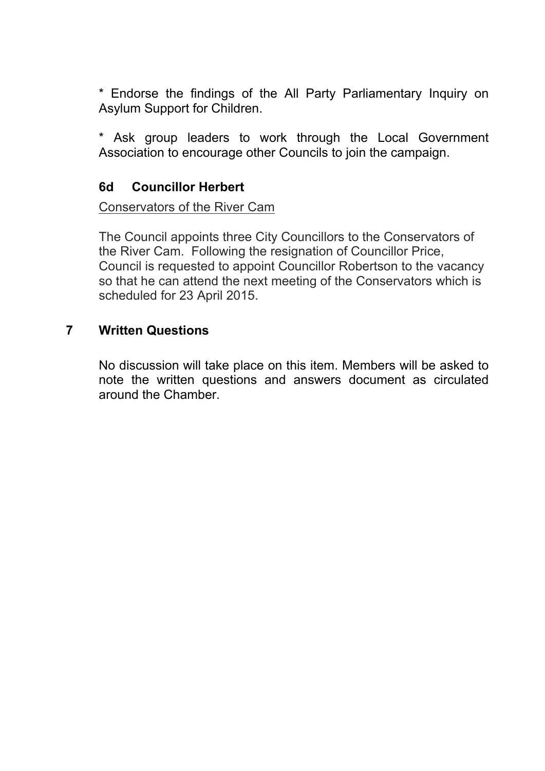\* Endorse the findings of the All Party Parliamentary Inquiry on Asylum Support for Children.

\* Ask group leaders to work through the Local Government Association to encourage other Councils to join the campaign.

#### **6d Councillor Herbert**

#### Conservators of the River Cam

The Council appoints three City Councillors to the Conservators of the River Cam. Following the resignation of Councillor Price, Council is requested to appoint Councillor Robertson to the vacancy so that he can attend the next meeting of the Conservators which is scheduled for 23 April 2015.

#### **7 Written Questions**

No discussion will take place on this item. Members will be asked to note the written questions and answers document as circulated around the Chamber.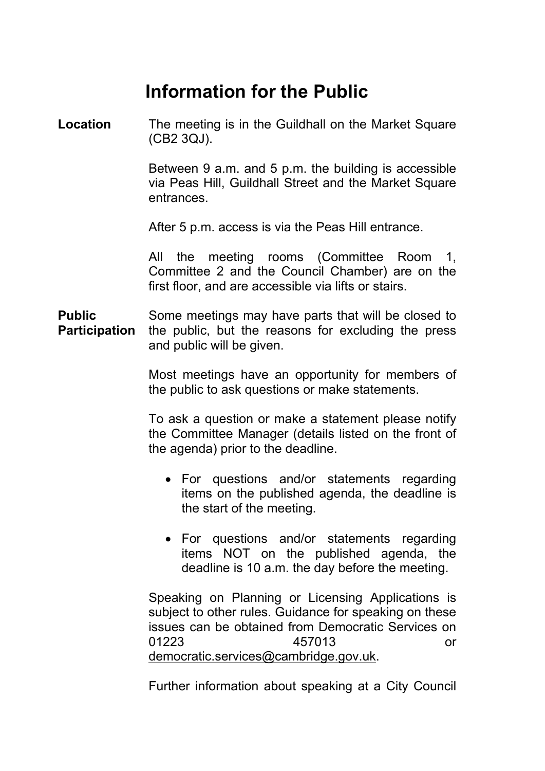# **Information for the Public**

**Location** The meeting is in the Guildhall on the Market Square (CB2 3QJ).

> Between 9 a.m. and 5 p.m. the building is accessible via Peas Hill, Guildhall Street and the Market Square entrances.

After 5 p.m. access is via the Peas Hill entrance.

All the meeting rooms (Committee Room 1, Committee 2 and the Council Chamber) are on the first floor, and are accessible via lifts or stairs.

**Public Participation** Some meetings may have parts that will be closed to the public, but the reasons for excluding the press and public will be given.

> Most meetings have an opportunity for members of the public to ask questions or make statements.

> To ask a question or make a statement please notify the Committee Manager (details listed on the front of the agenda) prior to the deadline.

- For questions and/or statements regarding items on the published agenda, the deadline is the start of the meeting.
- For questions and/or statements regarding items NOT on the published agenda, the deadline is 10 a.m. the day before the meeting.

Speaking on Planning or Licensing Applications is subject to other rules. Guidance for speaking on these issues can be obtained from Democratic Services on 01223 457013 or [democratic.services@cambridge.gov.uk.](mailto:democratic.services@cambridge.gov.uk)

Further information about speaking at a City Council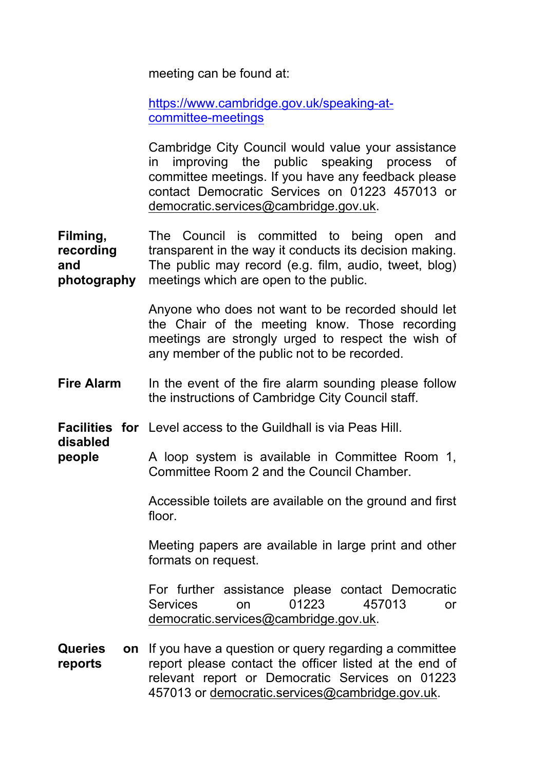meeting can be found at:

[https://www.cambridge.gov.uk/speaking-at](https://www.cambridge.gov.uk/speaking-at-committee-meetings)[committee-meetings](https://www.cambridge.gov.uk/speaking-at-committee-meetings)

Cambridge City Council would value your assistance in improving the public speaking process of committee meetings. If you have any feedback please contact Democratic Services on 01223 457013 or [democratic.services@cambridge.gov.uk.](mailto:democratic.services@cambridge.gov.uk)

**Filming, recording and photography** The Council is committed to being open and transparent in the way it conducts its decision making. The public may record (e.g. film, audio, tweet, blog) meetings which are open to the public.

> Anyone who does not want to be recorded should let the Chair of the meeting know. Those recording meetings are strongly urged to respect the wish of any member of the public not to be recorded.

**Fire Alarm** In the event of the fire alarm sounding please follow the instructions of Cambridge City Council staff.

**Facilities for** Level access to the Guildhall is via Peas Hill.

**disabled**

**people** A loop system is available in Committee Room 1, Committee Room 2 and the Council Chamber.

> Accessible toilets are available on the ground and first floor.

> Meeting papers are available in large print and other formats on request.

> For further assistance please contact Democratic Services on 01223 457013 or [democratic.services@cambridge.gov.uk.](mailto:democratic.services@cambridge.gov.uk)

**Queries on reports** on If you have a question or query regarding a committee report please contact the officer listed at the end of relevant report or Democratic Services on 01223 457013 or [democratic.services@cambridge.gov.uk.](mailto:democratic.services@cambridge.gov.uk)